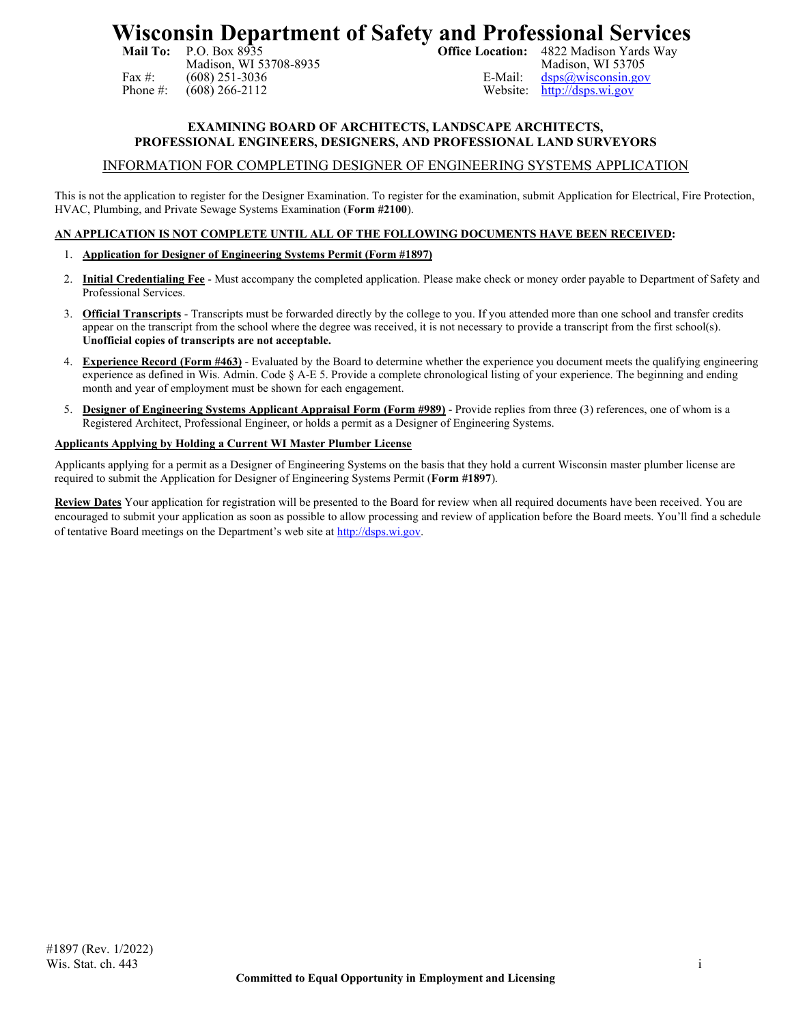# **Wisconsin Department of Safety and Professional Services**<br>Mail To: P.O. Box 8935<br>Office Location: 4822 Madison Yards Way

Madison, WI 53708-8935 Fax #: (608) 251-3036<br>
Phone #: (608) 266-2112<br>
Website: http://dsps.wi.gov

4822 Madison Yards Way<br>Madison, WI 53705 [http://dsps.wi.gov](http://dsps.wi.gov/)

# **EXAMINING BOARD OF ARCHITECTS, LANDSCAPE ARCHITECTS, PROFESSIONAL ENGINEERS, DESIGNERS, AND PROFESSIONAL LAND SURVEYORS**

# INFORMATION FOR COMPLETING DESIGNER OF ENGINEERING SYSTEMS APPLICATION

This is not the application to register for the Designer Examination. To register for the examination, submit Application for Electrical, Fire Protection, HVAC, Plumbing, and Private Sewage Systems Examination (**Form #2100**).

# **AN APPLICATION IS NOT COMPLETE UNTIL ALL OF THE FOLLOWING DOCUMENTS HAVE BEEN RECEIVED:**

### 1. **Application for Designer of Engineering Systems Permit (Form #1897)**

- 2. **Initial Credentialing Fee** Must accompany the completed application. Please make check or money order payable to Department of Safety and Professional Services.
- 3. **Official Transcripts** Transcripts must be forwarded directly by the college to you. If you attended more than one school and transfer credits appear on the transcript from the school where the degree was received, it is not necessary to provide a transcript from the first school(s). **Unofficial copies of transcripts are not acceptable.**
- 4. **Experience Record (Form #463)** Evaluated by the Board to determine whether the experience you document meets the qualifying engineering experience as defined in Wis. Admin. Code § A-E 5. Provide a complete chronological listing of your experience. The beginning and ending month and year of employment must be shown for each engagement.
- 5. **Designer of Engineering Systems Applicant Appraisal Form (Form #989)** Provide replies from three (3) references, one of whom is a Registered Architect, Professional Engineer, or holds a permit as a Designer of Engineering Systems.

### **Applicants Applying by Holding a Current WI Master Plumber License**

Applicants applying for a permit as a Designer of Engineering Systems on the basis that they hold a current Wisconsin master plumber license are required to submit the Application for Designer of Engineering Systems Permit (**Form #1897**).

**Review Dates** Your application for registration will be presented to the Board for review when all required documents have been received. You are encouraged to submit your application as soon as possible to allow processing and review of application before the Board meets. You'll find a schedule of tentative Board meetings on the Department's web site a[t http://dsps.wi.gov.](http://dsps.wi.gov/Licenses-Permits/Credentialing/Business-Professions)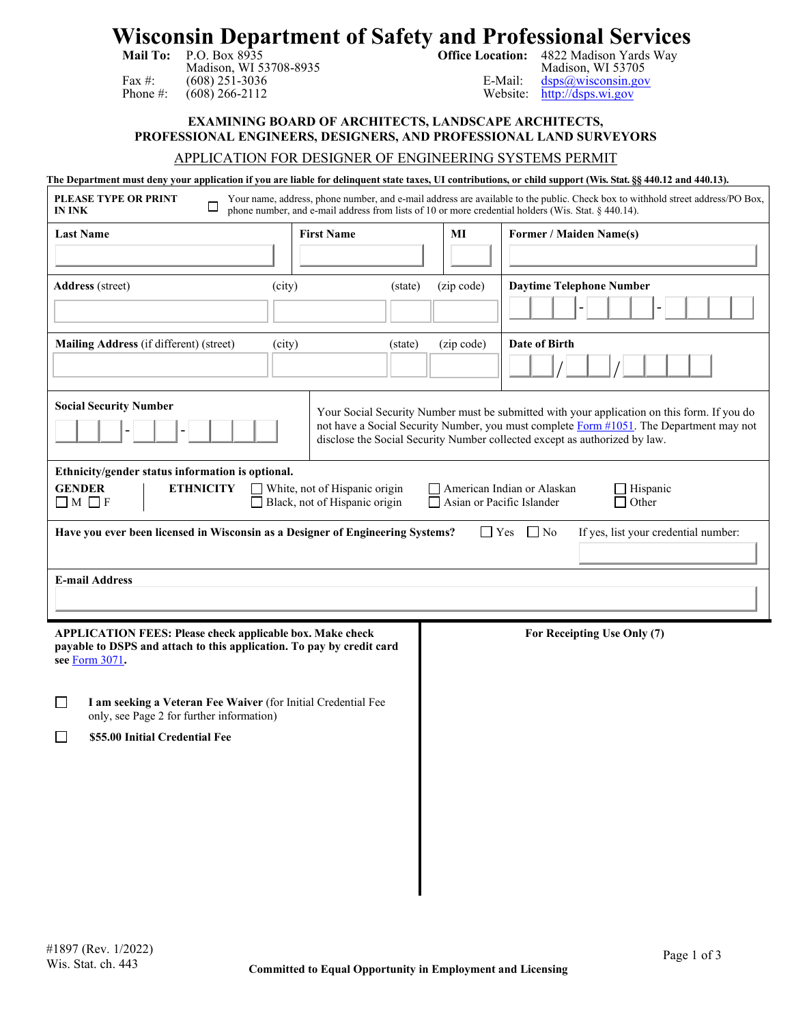# **Wisconsin Department of Safety and Professional Services Mail To: Mail To: Office Location:**  $4822$  Madison Yards Way<br>Madison, WI 53705

| Mail To:     | P.O. Box 8935    |
|--------------|------------------|
|              | Madison, WI 5.   |
| Fax $\#$ :   | $(608)$ 251-3036 |
| Phone $\#$ : | $(608)$ 266-2112 |

Madison, WI 53705<br>E-Mail: dsps@wisconsin.gov  $\text{dsps}(a)$ wisconsin.gov Website: [http://dsps.wi.gov](http://dsps.wi.gov/)

**EXAMINING BOARD OF ARCHITECTS, LANDSCAPE ARCHITECTS, PROFESSIONAL ENGINEERS, DESIGNERS, AND PROFESSIONAL LAND SURVEYORS**

# APPLICATION FOR DESIGNER OF ENGINEERING SYSTEMS PERMIT

#### **The Department must deny your application if you are liable for delinquent state taxes, UI contributions, or child support (Wis. Stat. §§ 440.12 and 440.13).**

| <b>PLEASE TYPE OR PRINT</b><br>IN INK                                                                                                                                                                                                                                                                 |                   |                       | Your name, address, phone number, and e-mail address are available to the public. Check box to withhold street address/PO Box,<br>phone number, and e-mail address from lists of 10 or more credential holders (Wis. Stat. § 440.14). |  |  |  |  |  |
|-------------------------------------------------------------------------------------------------------------------------------------------------------------------------------------------------------------------------------------------------------------------------------------------------------|-------------------|-----------------------|---------------------------------------------------------------------------------------------------------------------------------------------------------------------------------------------------------------------------------------|--|--|--|--|--|
| <b>Last Name</b>                                                                                                                                                                                                                                                                                      | <b>First Name</b> | MI                    | <b>Former / Maiden Name(s)</b>                                                                                                                                                                                                        |  |  |  |  |  |
|                                                                                                                                                                                                                                                                                                       |                   |                       |                                                                                                                                                                                                                                       |  |  |  |  |  |
| <b>Address</b> (street)                                                                                                                                                                                                                                                                               | (city)            | (zip code)<br>(state) | <b>Daytime Telephone Number</b>                                                                                                                                                                                                       |  |  |  |  |  |
| Mailing Address (if different) (street)                                                                                                                                                                                                                                                               | (city)            | (zip code)<br>(state) | <b>Date of Birth</b>                                                                                                                                                                                                                  |  |  |  |  |  |
| <b>Social Security Number</b><br>Your Social Security Number must be submitted with your application on this form. If you do<br>not have a Social Security Number, you must complete Form #1051. The Department may not<br>disclose the Social Security Number collected except as authorized by law. |                   |                       |                                                                                                                                                                                                                                       |  |  |  |  |  |
| Ethnicity/gender status information is optional.<br><b>GENDER</b><br><b>ETHNICITY</b><br>White, not of Hispanic origin<br>American Indian or Alaskan<br>$\Box$ Hispanic<br>Black, not of Hispanic origin<br>Other<br>$\Box$ M $\Box$ F<br>Asian or Pacific Islander                                   |                   |                       |                                                                                                                                                                                                                                       |  |  |  |  |  |
| Have you ever been licensed in Wisconsin as a Designer of Engineering Systems?<br>$\Box$ Yes<br>$\Box$ No<br>If yes, list your credential number:                                                                                                                                                     |                   |                       |                                                                                                                                                                                                                                       |  |  |  |  |  |
| <b>E-mail Address</b>                                                                                                                                                                                                                                                                                 |                   |                       |                                                                                                                                                                                                                                       |  |  |  |  |  |
| <b>APPLICATION FEES: Please check applicable box. Make check</b><br>payable to DSPS and attach to this application. To pay by credit card<br>see Form 3071.                                                                                                                                           |                   |                       | For Receipting Use Only (7)                                                                                                                                                                                                           |  |  |  |  |  |
| I am seeking a Veteran Fee Waiver (for Initial Credential Fee<br>$\mathsf{L}$<br>only, see Page 2 for further information)                                                                                                                                                                            |                   |                       |                                                                                                                                                                                                                                       |  |  |  |  |  |
| \$55.00 Initial Credential Fee<br>$\mathbf{I}$                                                                                                                                                                                                                                                        |                   |                       |                                                                                                                                                                                                                                       |  |  |  |  |  |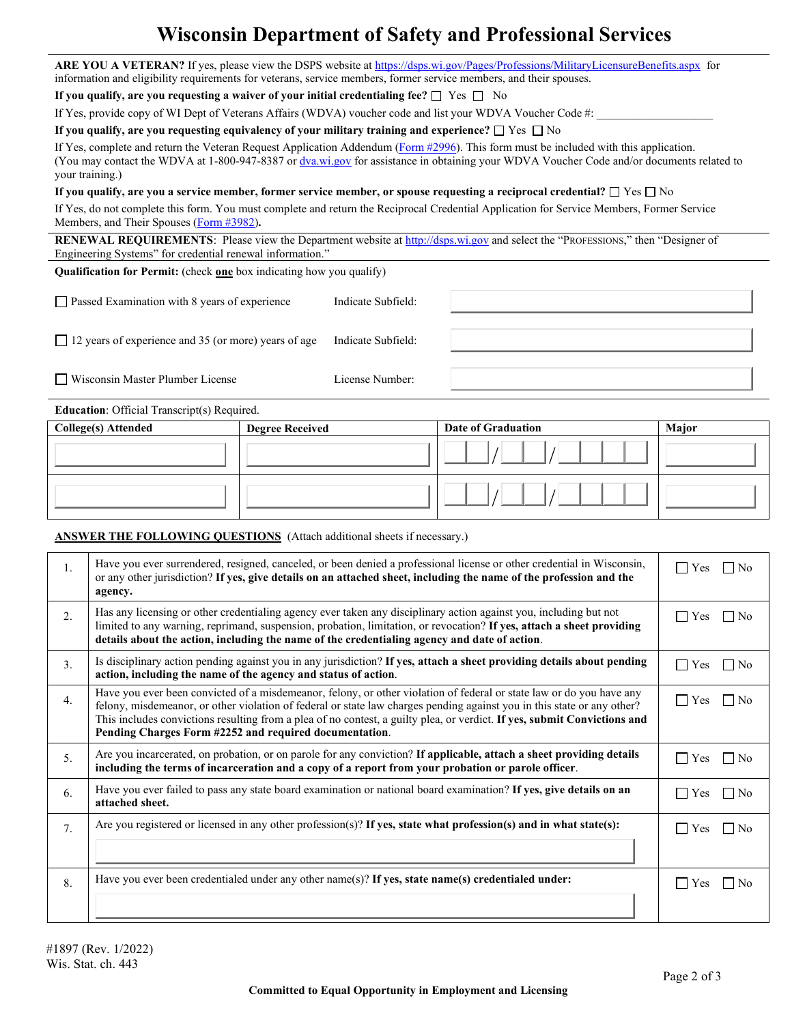# **Wisconsin Department of Safety and Professional Services**

**ARE YOU A VETERAN?** If yes, please view the DSPS website at<https://dsps.wi.gov/Pages/Professions/MilitaryLicensureBenefits.aspx>for information and eligibility requirements for veterans, service members, former service members, and their spouses.

**If you qualify, are you requesting a waiver of your initial credentialing fee?**  $\square$  Yes  $\square$  No

If Yes, provide copy of WI Dept of Veterans Affairs (WDVA) voucher code and list your WDVA Voucher Code #:

**If you qualify, are you requesting equivalency of your military training and experience?**  $\Box$  Yes  $\Box$  No

If Yes, complete and return the Veteran Request Application Addendum [\(Form #2996\)](https://dsps.wi.gov/Credentialing/General/Veteran/FM2996.pdf). This form must be included with this application. (You may contact the WDVA at 1-800-947-8387 o[r dva.wi.gov](https://dva.wi.gov/Pages/Home.aspx) for assistance in obtaining your WDVA Voucher Code and/or documents related to your training.)

**If you qualify, are you a service member, former service member, or spouse requesting a reciprocal credential?**  $\Box$  Yes  $\Box$  No

If Yes, do not complete this form. You must complete and return the Reciprocal Credential Application for Service Members, Former Service Members, and Their Spouses [\(Form #3982\)](https://dsps.wi.gov/Credentialing/General/Veteran/fm3982.pdf)**.** 

**RENEWAL REQUIREMENTS:** Please view the Department website a[t http://dsps.wi.gov](http://dsps.wi.gov/) and select the "PROFESSIONS," then "Designer of Engineering Systems" for credential renewal information."

**Qualification for Permit:** (check **one** box indicating how you qualify)

| $\Box$ Passed Examination with 8 years of experience        | Indicate Subfield: |  |
|-------------------------------------------------------------|--------------------|--|
| $\Box$ 12 years of experience and 35 (or more) years of age | Indicate Subfield: |  |
| □ Wisconsin Master Plumber License                          | License Number:    |  |

**Education**: Official Transcript(s) Required.

| College(s) Attended | <b>Degree Received</b> | Date of Graduation | Major |
|---------------------|------------------------|--------------------|-------|
|                     |                        |                    |       |
|                     |                        |                    |       |

# **ANSWER THE FOLLOWING QUESTIONS** (Attach additional sheets if necessary.)

| 1. | Have you ever surrendered, resigned, canceled, or been denied a professional license or other credential in Wisconsin,<br>or any other jurisdiction? If yes, give details on an attached sheet, including the name of the profession and the<br>agency.                                                                                                                                                                               | $\Gamma$ Yes<br>No             |
|----|---------------------------------------------------------------------------------------------------------------------------------------------------------------------------------------------------------------------------------------------------------------------------------------------------------------------------------------------------------------------------------------------------------------------------------------|--------------------------------|
| 2. | Has any licensing or other credentialing agency ever taken any disciplinary action against you, including but not<br>limited to any warning, reprimand, suspension, probation, limitation, or revocation? If yes, attach a sheet providing<br>details about the action, including the name of the credentialing agency and date of action.                                                                                            | $\Gamma$ Yes<br>N <sub>0</sub> |
| 3. | Is disciplinary action pending against you in any jurisdiction? If yes, attach a sheet providing details about pending<br>action, including the name of the agency and status of action.                                                                                                                                                                                                                                              | $\Box$ Yes<br>N <sub>o</sub>   |
| 4. | Have you ever been convicted of a misdemeanor, felony, or other violation of federal or state law or do you have any<br>felony, misdemeanor, or other violation of federal or state law charges pending against you in this state or any other?<br>This includes convictions resulting from a plea of no contest, a guilty plea, or verdict. If yes, submit Convictions and<br>Pending Charges Form #2252 and required documentation. | $\Gamma$ Yes<br>No             |
| 5. | Are you incarcerated, on probation, or on parole for any conviction? If applicable, attach a sheet providing details<br>including the terms of incarceration and a copy of a report from your probation or parole officer.                                                                                                                                                                                                            | $\Box$ Yes<br>$\overline{N}$   |
| 6. | Have you ever failed to pass any state board examination or national board examination? If yes, give details on an<br>attached sheet.                                                                                                                                                                                                                                                                                                 | $\Box$ Yes<br>  No             |
| 7. | Are you registered or licensed in any other profession(s)? If yes, state what profession(s) and in what state(s):                                                                                                                                                                                                                                                                                                                     | $\Gamma$ Yes<br>$\overline{N}$ |
| 8. | Have you ever been credentialed under any other name(s)? If yes, state name(s) credentialed under:                                                                                                                                                                                                                                                                                                                                    | $\Gamma$ Yes                   |